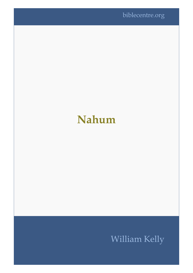## **Nahum**

## William Kelly